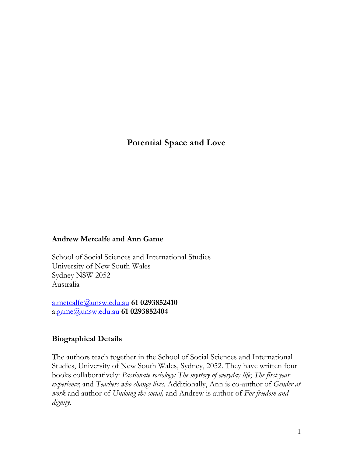# **Potential Space and Love**

#### **Andrew Metcalfe and Ann Game**

School of Social Sciences and International Studies University of New South Wales Sydney NSW 2052 Australia

[a.metcalfe@unsw.edu.au](mailto:a.metcalfe@unsw.edu.au) **61 0293852410** a[.game@unsw.edu.au](mailto:a.game@unsw.edu.au) **61 0293852404**

### **Biographical Details**

The authors teach together in the School of Social Sciences and International Studies, University of New South Wales, Sydney, 2052. They have written four books collaboratively: *Passionate sociology; The mystery of everyday life*; *The first year experience*; and *Teachers who change lives.* Additionally, Ann is co-author of *Gender at work* and author of *Undoing the social,* and Andrew is author of *For freedom and dignity*.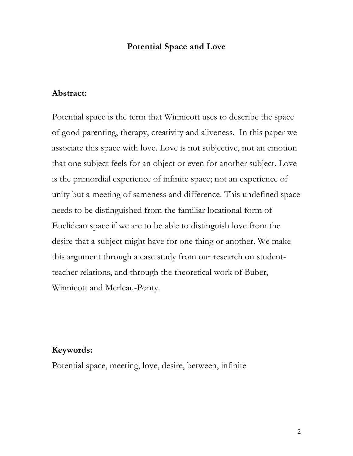## **Potential Space and Love**

### **Abstract:**

Potential space is the term that Winnicott uses to describe the space of good parenting, therapy, creativity and aliveness. In this paper we associate this space with love. Love is not subjective, not an emotion that one subject feels for an object or even for another subject. Love is the primordial experience of infinite space; not an experience of unity but a meeting of sameness and difference. This undefined space needs to be distinguished from the familiar locational form of Euclidean space if we are to be able to distinguish love from the desire that a subject might have for one thing or another. We make this argument through a case study from our research on studentteacher relations, and through the theoretical work of Buber, Winnicott and Merleau-Ponty.

## **Keywords:**

Potential space, meeting, love, desire, between, infinite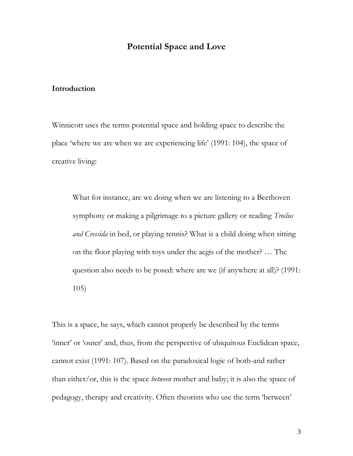## **Potential Space and Love**

#### **Introduction**

Winnicott uses the terms potential space and holding space to describe the place "where we are when we are experiencing life" (1991: 104), the space of creative living:

What for instance, are we doing when we are listening to a Beethoven symphony or making a pilgrimage to a picture gallery or reading *Troilus and Cressida* in bed, or playing tennis? What is a child doing when sitting on the floor playing with toys under the aegis of the mother? … The question also needs to be posed: where are we (if anywhere at all)? (1991: 105)

This is a space, he says, which cannot properly be described by the terms 'inner' or 'outer' and, thus, from the perspective of ubiquitous Euclidean space, cannot exist (1991: 107). Based on the paradoxical logic of both-and rather than either/or, this is the space *between* mother and baby; it is also the space of pedagogy, therapy and creativity. Often theorists who use the term "between"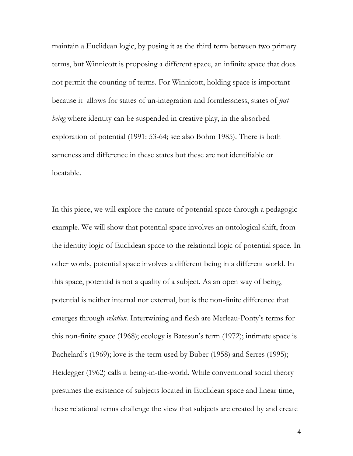maintain a Euclidean logic, by posing it as the third term between two primary terms, but Winnicott is proposing a different space, an infinite space that does not permit the counting of terms. For Winnicott, holding space is important because it allows for states of un-integration and formlessness, states of *just being* where identity can be suspended in creative play, in the absorbed exploration of potential (1991: 53-64; see also Bohm 1985). There is both sameness and difference in these states but these are not identifiable or locatable.

In this piece, we will explore the nature of potential space through a pedagogic example. We will show that potential space involves an ontological shift, from the identity logic of Euclidean space to the relational logic of potential space. In other words, potential space involves a different being in a different world. In this space, potential is not a quality of a subject. As an open way of being, potential is neither internal nor external, but is the non-finite difference that emerges through *relation*. Intertwining and flesh are Merleau-Ponty's terms for this non-finite space (1968); ecology is Bateson"s term (1972); intimate space is Bachelard's (1969); love is the term used by Buber (1958) and Serres (1995); Heidegger (1962) calls it being-in-the-world. While conventional social theory presumes the existence of subjects located in Euclidean space and linear time, these relational terms challenge the view that subjects are created by and create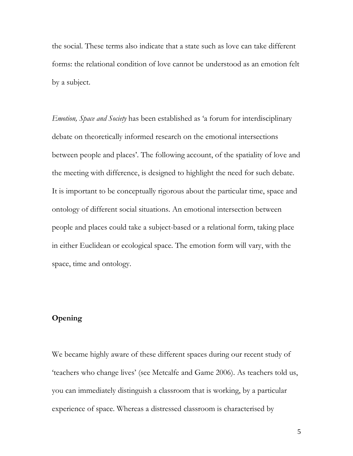the social. These terms also indicate that a state such as love can take different forms: the relational condition of love cannot be understood as an emotion felt by a subject.

*Emotion, Space and Society* has been established as "a forum for interdisciplinary debate on theoretically informed research on the emotional intersections between people and places'. The following account, of the spatiality of love and the meeting with difference, is designed to highlight the need for such debate. It is important to be conceptually rigorous about the particular time, space and ontology of different social situations. An emotional intersection between people and places could take a subject-based or a relational form, taking place in either Euclidean or ecological space. The emotion form will vary, with the space, time and ontology.

### **Opening**

We became highly aware of these different spaces during our recent study of "teachers who change lives" (see Metcalfe and Game 2006). As teachers told us, you can immediately distinguish a classroom that is working, by a particular experience of space. Whereas a distressed classroom is characterised by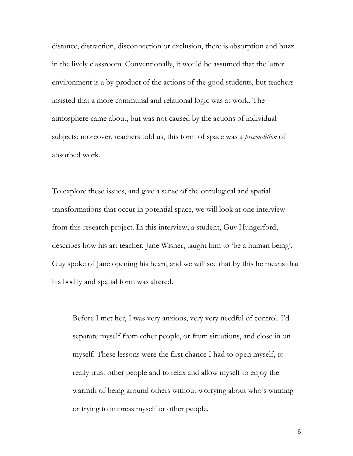distance, distraction, disconnection or exclusion, there is absorption and buzz in the lively classroom. Conventionally, it would be assumed that the latter environment is a by-product of the actions of the good students, but teachers insisted that a more communal and relational logic was at work. The atmosphere came about, but was not caused by the actions of individual subjects; moreover, teachers told us, this form of space was a *precondition* of absorbed work.

To explore these issues, and give a sense of the ontological and spatial transformations that occur in potential space, we will look at one interview from this research project. In this interview, a student, Guy Hungerford, describes how his art teacher, Jane Wisner, taught him to 'be a human being'. Guy spoke of Jane opening his heart, and we will see that by this he means that his bodily and spatial form was altered.

Before I met her, I was very anxious, very very needful of control. I"d separate myself from other people, or from situations, and close in on myself. These lessons were the first chance I had to open myself, to really trust other people and to relax and allow myself to enjoy the warmth of being around others without worrying about who's winning or trying to impress myself or other people.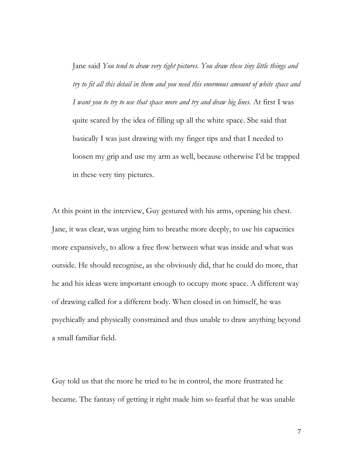Jane said *You tend to draw very tight pictures. You draw these tiny little things and try to fit all this detail in them and you need this enormous amount of white space and I want you to try to use that space more and try and draw big lines.* At first I was quite scared by the idea of filling up all the white space. She said that basically I was just drawing with my finger tips and that I needed to loosen my grip and use my arm as well, because otherwise I"d be trapped in these very tiny pictures.

At this point in the interview, Guy gestured with his arms, opening his chest. Jane, it was clear, was urging him to breathe more deeply, to use his capacities more expansively, to allow a free flow between what was inside and what was outside. He should recognise, as she obviously did, that he could do more, that he and his ideas were important enough to occupy more space. A different way of drawing called for a different body. When closed in on himself, he was psychically and physically constrained and thus unable to draw anything beyond a small familiar field.

Guy told us that the more he tried to be in control, the more frustrated he became. The fantasy of getting it right made him so fearful that he was unable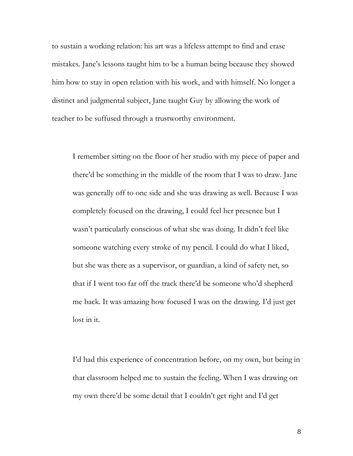to sustain a working relation: his art was a lifeless attempt to find and erase mistakes. Jane's lessons taught him to be a human being because they showed him how to stay in open relation with his work, and with himself. No longer a distinct and judgmental subject, Jane taught Guy by allowing the work of teacher to be suffused through a trustworthy environment.

I remember sitting on the floor of her studio with my piece of paper and there"d be something in the middle of the room that I was to draw. Jane was generally off to one side and she was drawing as well. Because I was completely focused on the drawing, I could feel her presence but I wasn"t particularly conscious of what she was doing. It didn"t feel like someone watching every stroke of my pencil. I could do what I liked, but she was there as a supervisor, or guardian, a kind of safety net, so that if I went too far off the track there"d be someone who"d shepherd me back. It was amazing how focused I was on the drawing. I"d just get lost in it.

I"d had this experience of concentration before, on my own, but being in that classroom helped me to sustain the feeling. When I was drawing on my own there"d be some detail that I couldn"t get right and I"d get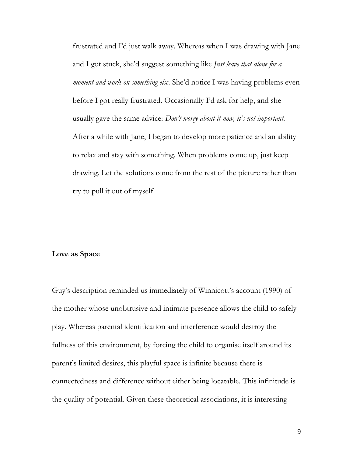frustrated and I"d just walk away. Whereas when I was drawing with Jane and I got stuck, she"d suggest something like *Just leave that alone for a moment and work on something else*. She"d notice I was having problems even before I got really frustrated. Occasionally I"d ask for help, and she usually gave the same advice: *Don't worry about it now, it's not important.*  After a while with Jane, I began to develop more patience and an ability to relax and stay with something. When problems come up, just keep drawing. Let the solutions come from the rest of the picture rather than try to pull it out of myself.

#### **Love as Space**

Guy's description reminded us immediately of Winnicott's account (1990) of the mother whose unobtrusive and intimate presence allows the child to safely play. Whereas parental identification and interference would destroy the fullness of this environment, by forcing the child to organise itself around its parent"s limited desires, this playful space is infinite because there is connectedness and difference without either being locatable. This infinitude is the quality of potential. Given these theoretical associations, it is interesting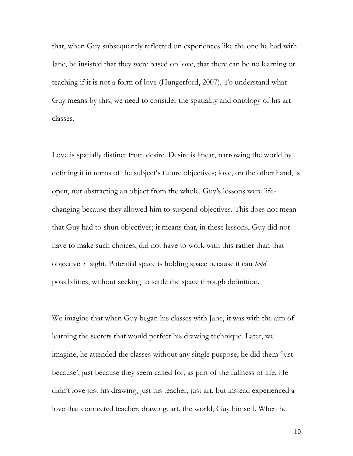that, when Guy subsequently reflected on experiences like the one he had with Jane, he insisted that they were based on love, that there can be no learning or teaching if it is not a form of love (Hungerford, 2007). To understand what Guy means by this, we need to consider the spatiality and ontology of his art classes.

Love is spatially distinct from desire. Desire is linear, narrowing the world by defining it in terms of the subject's future objectives; love, on the other hand, is open, not abstracting an object from the whole. Guy"s lessons were lifechanging because they allowed him to suspend objectives. This does not mean that Guy had to shun objectives; it means that, in these lessons, Guy did not have to make such choices, did not have to work with this rather than that objective in sight. Potential space is holding space because it can *hold* possibilities, without seeking to settle the space through definition.

We imagine that when Guy began his classes with Jane, it was with the aim of learning the secrets that would perfect his drawing technique. Later, we imagine, he attended the classes without any single purpose; he did them "just because", just because they seem called for, as part of the fullness of life. He didn"t love just his drawing, just his teacher, just art, but instead experienced a love that connected teacher, drawing, art, the world, Guy himself. When he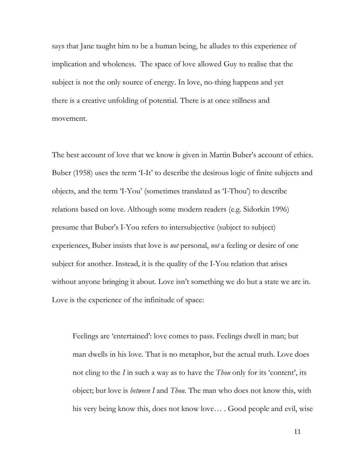says that Jane taught him to be a human being, he alludes to this experience of implication and wholeness. The space of love allowed Guy to realise that the subject is not the only source of energy. In love, no-thing happens and yet there is a creative unfolding of potential. There is at once stillness and movement.

The best account of love that we know is given in Martin Buber's account of ethics. Buber (1958) uses the term 'I-It' to describe the desirous logic of finite subjects and objects, and the term "I-You" (sometimes translated as "I-Thou") to describe relations based on love. Although some modern readers (e.g. Sidorkin 1996) presume that Buber"s I-You refers to intersubjective (subject to subject) experiences, Buber insists that love is *not* personal, *not* a feeling or desire of one subject for another. Instead, it is the quality of the I-You relation that arises without anyone bringing it about. Love isn't something we do but a state we are in. Love is the experience of the infinitude of space:

Feelings are "entertained": love comes to pass. Feelings dwell in man; but man dwells in his love. That is no metaphor, but the actual truth. Love does not cling to the *I* in such a way as to have the *Thou* only for its 'content', its object; but love is *between I* and *Thou*. The man who does not know this, with his very being know this, does not know love*…* . Good people and evil, wise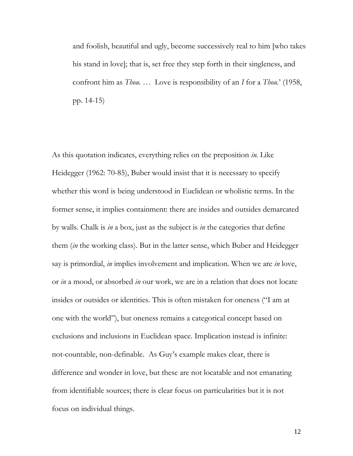and foolish, beautiful and ugly, become successively real to him [who takes his stand in love]; that is, set free they step forth in their singleness, and confront him as *Thou. …* Love is responsibility of an *I* for a *Thou.*" (1958, pp. 14-15)

As this quotation indicates, everything relies on the preposition *in.* Like Heidegger (1962: 70-85), Buber would insist that it is necessary to specify whether this word is being understood in Euclidean or wholistic terms. In the former sense, it implies containment: there are insides and outsides demarcated by walls. Chalk is *in* a box, just as the subject is *in* the categories that define them (*in* the working class). But in the latter sense, which Buber and Heidegger say is primordial, *in* implies involvement and implication. When we are *in* love, or *in* a mood, or absorbed *in* our work, we are in a relation that does not locate insides or outsides or identities. This is often mistaken for oneness ("I am at one with the world"), but oneness remains a categorical concept based on exclusions and inclusions in Euclidean space. Implication instead is infinite: not-countable, non-definable. As Guy"s example makes clear, there is difference and wonder in love, but these are not locatable and not emanating from identifiable sources; there is clear focus on particularities but it is not focus on individual things.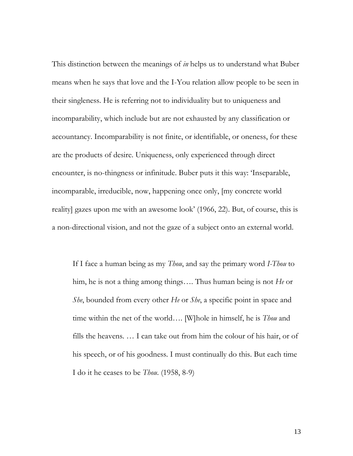This distinction between the meanings of *in* helps us to understand what Buber means when he says that love and the I-You relation allow people to be seen in their singleness. He is referring not to individuality but to uniqueness and incomparability, which include but are not exhausted by any classification or accountancy. Incomparability is not finite, or identifiable, or oneness, for these are the products of desire. Uniqueness, only experienced through direct encounter, is no-thingness or infinitude. Buber puts it this way: "Inseparable, incomparable, irreducible, now, happening once only, [my concrete world reality] gazes upon me with an awesome look' (1966, 22). But, of course, this is a non-directional vision, and not the gaze of a subject onto an external world.

If I face a human being as my *Thou*, and say the primary word *I-Thou* to him, he is not a thing among things…. Thus human being is not *He* or *She*, bounded from every other *He* or *She*, a specific point in space and time within the net of the world…. [W]hole in himself, he is *Thou* and fills the heavens. … I can take out from him the colour of his hair, or of his speech, or of his goodness. I must continually do this. But each time I do it he ceases to be *Thou*. (1958, 8-9)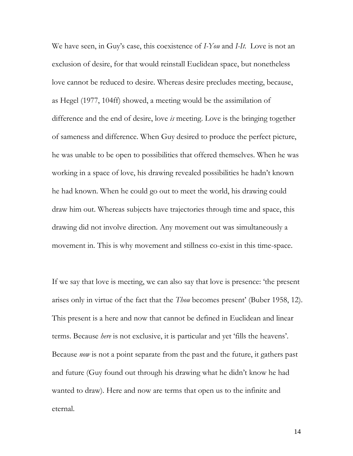We have seen, in Guy"s case, this coexistence of *I-You* and *I-It*. Love is not an exclusion of desire, for that would reinstall Euclidean space, but nonetheless love cannot be reduced to desire. Whereas desire precludes meeting, because, as Hegel (1977, 104ff) showed, a meeting would be the assimilation of difference and the end of desire, love *is* meeting. Love is the bringing together of sameness and difference. When Guy desired to produce the perfect picture, he was unable to be open to possibilities that offered themselves. When he was working in a space of love, his drawing revealed possibilities he hadn"t known he had known. When he could go out to meet the world, his drawing could draw him out. Whereas subjects have trajectories through time and space, this drawing did not involve direction. Any movement out was simultaneously a movement in. This is why movement and stillness co-exist in this time-space.

If we say that love is meeting, we can also say that love is presence: "the present arises only in virtue of the fact that the *Thou* becomes present' (Buber 1958, 12). This present is a here and now that cannot be defined in Euclidean and linear terms. Because *here* is not exclusive, it is particular and yet "fills the heavens". Because *now* is not a point separate from the past and the future, it gathers past and future (Guy found out through his drawing what he didn"t know he had wanted to draw). Here and now are terms that open us to the infinite and eternal.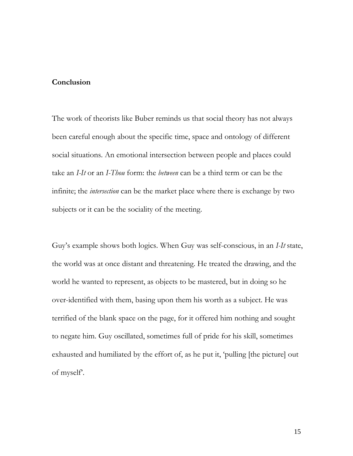#### **Conclusion**

The work of theorists like Buber reminds us that social theory has not always been careful enough about the specific time, space and ontology of different social situations. An emotional intersection between people and places could take an *I-It* or an *I-Thou* form: the *between* can be a third term or can be the infinite; the *intersection* can be the market place where there is exchange by two subjects or it can be the sociality of the meeting.

Guy"s example shows both logics. When Guy was self-conscious, in an *I-It* state, the world was at once distant and threatening. He treated the drawing, and the world he wanted to represent, as objects to be mastered, but in doing so he over-identified with them, basing upon them his worth as a subject. He was terrified of the blank space on the page, for it offered him nothing and sought to negate him. Guy oscillated, sometimes full of pride for his skill, sometimes exhausted and humiliated by the effort of, as he put it, "pulling [the picture] out of myself.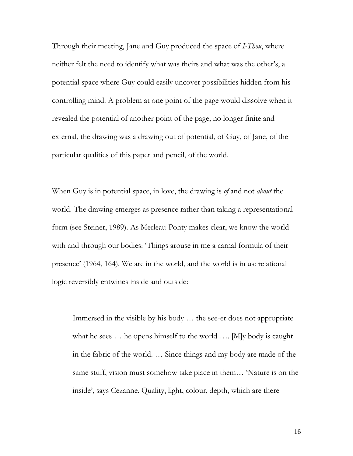Through their meeting, Jane and Guy produced the space of *I-Thou*, where neither felt the need to identify what was theirs and what was the other's, a potential space where Guy could easily uncover possibilities hidden from his controlling mind. A problem at one point of the page would dissolve when it revealed the potential of another point of the page; no longer finite and external, the drawing was a drawing out of potential, of Guy, of Jane, of the particular qualities of this paper and pencil, of the world.

When Guy is in potential space, in love, the drawing is *of* and not *about* the world. The drawing emerges as presence rather than taking a representational form (see Steiner, 1989). As Merleau-Ponty makes clear, we know the world with and through our bodies: "Things arouse in me a carnal formula of their presence" (1964, 164). We are in the world, and the world is in us: relational logic reversibly entwines inside and outside:

Immersed in the visible by his body … the see-er does not appropriate what he sees ... he opens himself to the world .... [M]y body is caught in the fabric of the world. … Since things and my body are made of the same stuff, vision must somehow take place in them… "Nature is on the inside", says Cezanne. Quality, light, colour, depth, which are there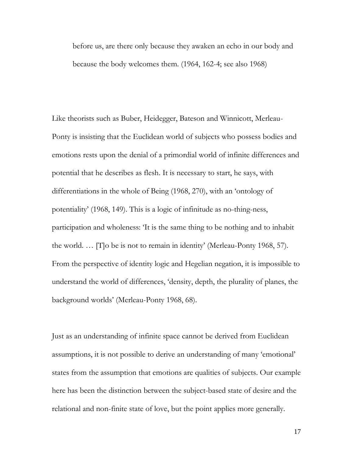before us, are there only because they awaken an echo in our body and because the body welcomes them. (1964, 162-4; see also 1968)

Like theorists such as Buber, Heidegger, Bateson and Winnicott, Merleau-Ponty is insisting that the Euclidean world of subjects who possess bodies and emotions rests upon the denial of a primordial world of infinite differences and potential that he describes as flesh. It is necessary to start, he says, with differentiations in the whole of Being (1968, 270), with an "ontology of potentiality" (1968, 149). This is a logic of infinitude as no-thing-ness, participation and wholeness: "It is the same thing to be nothing and to inhabit the world. ... [T]o be is not to remain in identity' (Merleau-Ponty 1968, 57). From the perspective of identity logic and Hegelian negation, it is impossible to understand the world of differences, "density, depth, the plurality of planes, the background worlds" (Merleau-Ponty 1968, 68).

Just as an understanding of infinite space cannot be derived from Euclidean assumptions, it is not possible to derive an understanding of many "emotional" states from the assumption that emotions are qualities of subjects. Our example here has been the distinction between the subject-based state of desire and the relational and non-finite state of love, but the point applies more generally.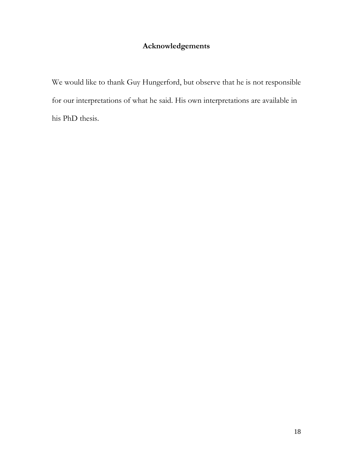# **Acknowledgements**

We would like to thank Guy Hungerford, but observe that he is not responsible for our interpretations of what he said. His own interpretations are available in his PhD thesis.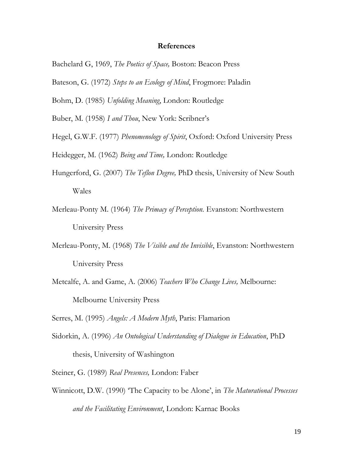#### **References**

- Bachelard G, 1969, *The Poetics of Space,* Boston: Beacon Press
- Bateson, G. (1972) *Steps to an Ecology of Mind*, Frogmore: Paladin
- Bohm, D. (1985) *Unfolding Meaning*, London: Routledge
- Buber, M. (1958) *I and Thou*, New York: Scribner's
- Hegel, G.W.F. (1977) *Phenomenology of Spirit*, Oxford: Oxford University Press

Heidegger, M. (1962) *Being and Time,* London: Routledge

- Hungerford, G. (2007) *The Teflon Degree,* PhD thesis, University of New South Wales
- Merleau-Ponty M. (1964) *The Primacy of Perception.* Evanston: Northwestern University Press
- Merleau-Ponty, M. (1968) *The Visible and the Invisible*, Evanston: Northwestern University Press
- Metcalfe, A. and Game, A. (2006) *Teachers Who Change Lives,* Melbourne: Melbourne University Press

Serres, M. (1995) *Angels: A Modern Myth*, Paris: Flamarion

- Sidorkin, A. (1996) *An Ontological Understanding of Dialogue in Education*, PhD thesis, University of Washington
- Steiner, G. (1989) *Real Presences,* London: Faber
- Winnicott, D.W. (1990) "The Capacity to be Alone", in *The Maturational Processes and the Facilitating Environment*, London: Karnac Books